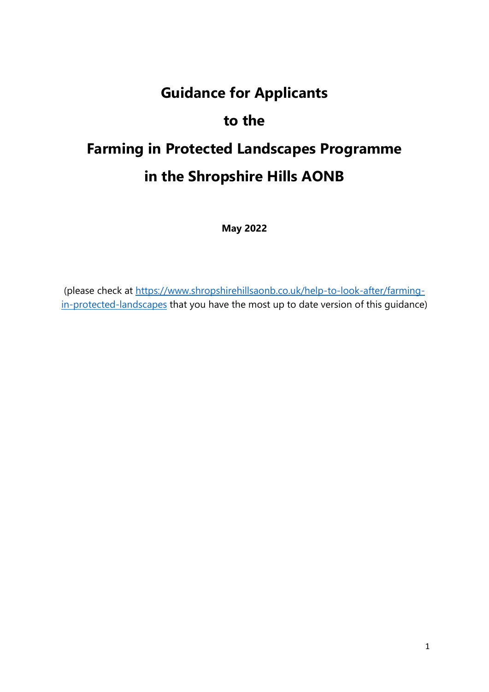# **Guidance for Applicants to the Farming in Protected Landscapes Programme in the Shropshire Hills AONB**

**May 2022**

(please check at [https://www.shropshirehillsaonb.co.uk/help-to-look-after/farming](https://www.shropshirehillsaonb.co.uk/help-to-look-after/farming-in-protected-landscapes)[in-protected-landscapes](https://www.shropshirehillsaonb.co.uk/help-to-look-after/farming-in-protected-landscapes) that you have the most up to date version of this guidance)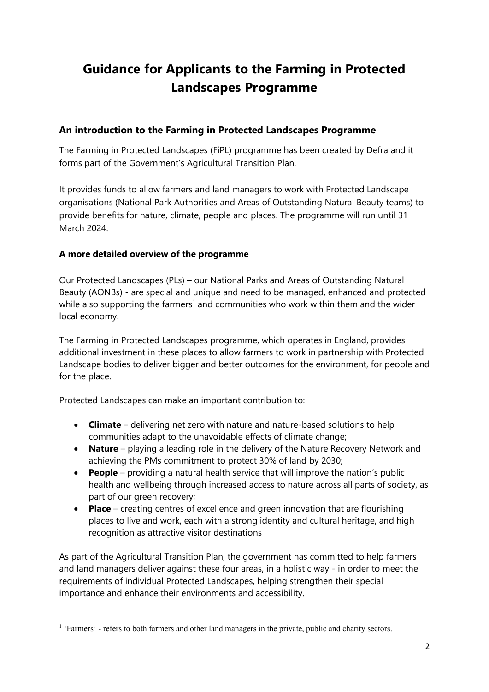## **Guidance for Applicants to the Farming in Protected Landscapes Programme**

#### **An introduction to the Farming in Protected Landscapes Programme**

The Farming in Protected Landscapes (FiPL) programme has been created by Defra and it forms part of the Government's Agricultural Transition Plan.

It provides funds to allow farmers and land managers to work with Protected Landscape organisations (National Park Authorities and Areas of Outstanding Natural Beauty teams) to provide benefits for nature, climate, people and places. The programme will run until 31 March 2024.

#### **A more detailed overview of the programme**

Our Protected Landscapes (PLs) – our National Parks and Areas of Outstanding Natural Beauty (AONBs) - are special and unique and need to be managed, enhanced and protected while also supporting the farmers<sup>1</sup> and communities who work within them and the wider local economy.

The Farming in Protected Landscapes programme, which operates in England, provides additional investment in these places to allow farmers to work in partnership with Protected Landscape bodies to deliver bigger and better outcomes for the environment, for people and for the place.

Protected Landscapes can make an important contribution to:

- **Climate** delivering net zero with nature and nature-based solutions to help communities adapt to the unavoidable effects of climate change;
- **Nature** playing a leading role in the delivery of the Nature Recovery Network and achieving the PMs commitment to protect 30% of land by 2030;
- **People** providing a natural health service that will improve the nation's public health and wellbeing through increased access to nature across all parts of society, as part of our green recovery;
- **Place** creating centres of excellence and green innovation that are flourishing places to live and work, each with a strong identity and cultural heritage, and high recognition as attractive visitor destinations

As part of the Agricultural Transition Plan, the government has committed to help farmers and land managers deliver against these four areas, in a holistic way - in order to meet the requirements of individual Protected Landscapes, helping strengthen their special importance and enhance their environments and accessibility.

<sup>&</sup>lt;sup>1</sup> 'Farmers' - refers to both farmers and other land managers in the private, public and charity sectors.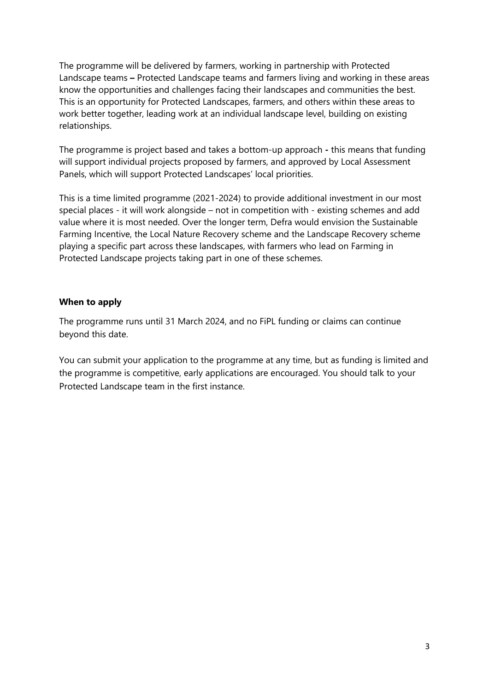The programme will be delivered by farmers, working in partnership with Protected Landscape teams **–** Protected Landscape teams and farmers living and working in these areas know the opportunities and challenges facing their landscapes and communities the best. This is an opportunity for Protected Landscapes, farmers, and others within these areas to work better together, leading work at an individual landscape level, building on existing relationships.

The programme is project based and takes a bottom-up approach **-** this means that funding will support individual projects proposed by farmers, and approved by Local Assessment Panels, which will support Protected Landscapes' local priorities.

This is a time limited programme (2021-2024) to provide additional investment in our most special places - it will work alongside – not in competition with - existing schemes and add value where it is most needed. Over the longer term, Defra would envision the Sustainable Farming Incentive, the Local Nature Recovery scheme and the Landscape Recovery scheme playing a specific part across these landscapes, with farmers who lead on Farming in Protected Landscape projects taking part in one of these schemes.

#### **When to apply**

The programme runs until 31 March 2024, and no FiPL funding or claims can continue beyond this date.

You can submit your application to the programme at any time, but as funding is limited and the programme is competitive, early applications are encouraged. You should talk to your Protected Landscape team in the first instance.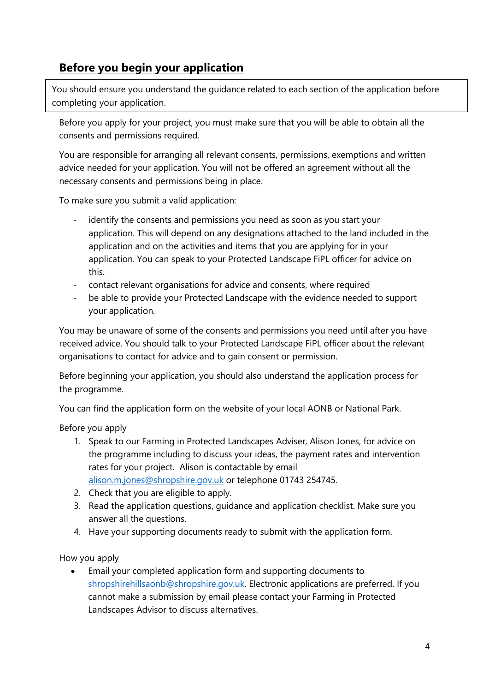## **Before you begin your application**

You should ensure you understand the guidance related to each section of the application before completing your application.

Before you apply for your project, you must make sure that you will be able to obtain all the consents and permissions required.

You are responsible for arranging all relevant consents, permissions, exemptions and written advice needed for your application. You will not be offered an agreement without all the necessary consents and permissions being in place.

To make sure you submit a valid application:

- identify the consents and permissions you need as soon as you start your application. This will depend on any designations attached to the land included in the application and on the activities and items that you are applying for in your application. You can speak to your Protected Landscape FiPL officer for advice on this.
- contact relevant organisations for advice and consents, where required
- be able to provide your Protected Landscape with the evidence needed to support your application.

You may be unaware of some of the consents and permissions you need until after you have received advice. You should talk to your Protected Landscape FiPL officer about the relevant organisations to contact for advice and to gain consent or permission.

Before beginning your application, you should also understand the application process for the programme.

You can find the application form on the website of your local AONB or National Park.

Before you apply

- 1. Speak to our Farming in Protected Landscapes Adviser, Alison Jones, for advice on the programme including to discuss your ideas, the payment rates and intervention rates for your project. Alison is contactable by email [alison.m.jones@shropshire.gov.uk](mailto:alison.m.jones@shropshire.gov.uk) or telephone 01743 254745.
- 2. Check that you are eligible to apply.
- 3. Read the application questions, guidance and application checklist. Make sure you answer all the questions.
- 4. Have your supporting documents ready to submit with the application form.

How you apply

• Email your completed application form and supporting documents to [shropshirehillsaonb@shropshire.gov.uk.](mailto:shropshirehillsaonb@shropshire.gov.uk) Electronic applications are preferred. If you cannot make a submission by email please contact your Farming in Protected Landscapes Advisor to discuss alternatives.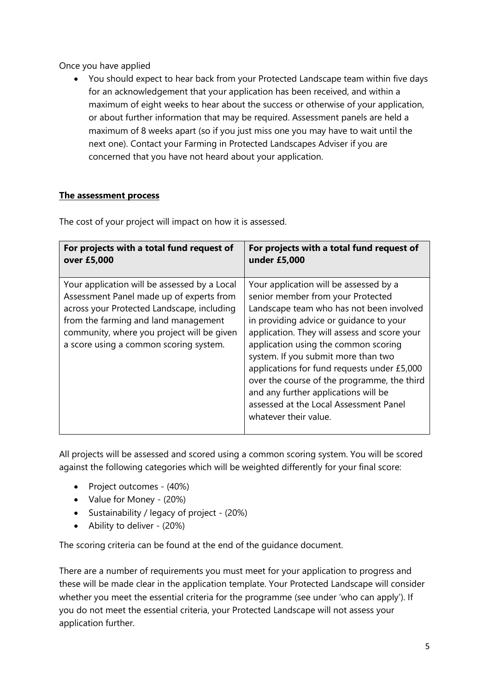Once you have applied

• You should expect to hear back from your Protected Landscape team within five days for an acknowledgement that your application has been received, and within a maximum of eight weeks to hear about the success or otherwise of your application, or about further information that may be required. Assessment panels are held a maximum of 8 weeks apart (so if you just miss one you may have to wait until the next one). Contact your Farming in Protected Landscapes Adviser if you are concerned that you have not heard about your application.

#### **The assessment process**

| For projects with a total fund request of                                                                                                                                                                                                                              | For projects with a total fund request of                                                                                                                                                                                                                                                                                                                                                                                                                                                                  |
|------------------------------------------------------------------------------------------------------------------------------------------------------------------------------------------------------------------------------------------------------------------------|------------------------------------------------------------------------------------------------------------------------------------------------------------------------------------------------------------------------------------------------------------------------------------------------------------------------------------------------------------------------------------------------------------------------------------------------------------------------------------------------------------|
| over £5,000                                                                                                                                                                                                                                                            | under £5,000                                                                                                                                                                                                                                                                                                                                                                                                                                                                                               |
| Your application will be assessed by a Local<br>Assessment Panel made up of experts from<br>across your Protected Landscape, including<br>from the farming and land management<br>community, where you project will be given<br>a score using a common scoring system. | Your application will be assessed by a<br>senior member from your Protected<br>Landscape team who has not been involved<br>in providing advice or guidance to your<br>application. They will assess and score your<br>application using the common scoring<br>system. If you submit more than two<br>applications for fund requests under £5,000<br>over the course of the programme, the third<br>and any further applications will be<br>assessed at the Local Assessment Panel<br>whatever their value. |

The cost of your project will impact on how it is assessed.

All projects will be assessed and scored using a common scoring system. You will be scored against the following categories which will be weighted differently for your final score:

- Project outcomes (40%)
- Value for Money (20%)
- Sustainability / legacy of project (20%)
- Ability to deliver (20%)

The scoring criteria can be found at the end of the guidance document.

There are a number of requirements you must meet for your application to progress and these will be made clear in the application template. Your Protected Landscape will consider whether you meet the essential criteria for the programme (see under 'who can apply'). If you do not meet the essential criteria, your Protected Landscape will not assess your application further.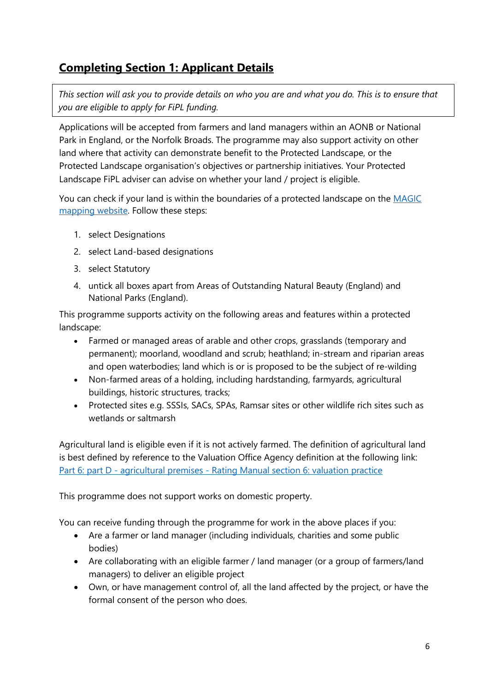## **Completing Section 1: Applicant Details**

*This section will ask you to provide details on who you are and what you do. This is to ensure that you are eligible to apply for FiPL funding.* 

Applications will be accepted from farmers and land managers within an AONB or National Park in England, or the Norfolk Broads. The programme may also support activity on other land where that activity can demonstrate benefit to the Protected Landscape, or the Protected Landscape organisation's objectives or partnership initiatives. Your Protected Landscape FiPL adviser can advise on whether your land / project is eligible.

You can check if your land is within the boundaries of a protected landscape on the MAGIC [mapping](https://magic.defra.gov.uk/MagicMap.aspx) website. Follow these steps:

- 1. select Designations
- 2. select Land-based designations
- 3. select Statutory
- 4. untick all boxes apart from Areas of Outstanding Natural Beauty (England) and National Parks (England).

This programme supports activity on the following areas and features within a protected landscape:

- Farmed or managed areas of arable and other crops, grasslands (temporary and permanent); moorland, woodland and scrub; heathland; in-stream and riparian areas and open waterbodies; land which is or is proposed to be the subject of re-wilding
- Non-farmed areas of a holding, including hardstanding, farmyards, agricultural buildings, historic structures, tracks;
- Protected sites e.g. SSSIs, SACs, SPAs, Ramsar sites or other wildlife rich sites such as wetlands or saltmarsh

Agricultural land is eligible even if it is not actively farmed. The definition of agricultural land is best defined by reference to the Valuation Office Agency definition at the following link: Part 6: part D - agricultural premises - Rating [Manual section 6: valuation practice](https://eur03.safelinks.protection.outlook.com/?url=https%3A%2F%2Fwww.gov.uk%2Fguidance%2Frating-manual-section-6-chhallenges-to-the-rating-list%2Fpart-6-part-d-agricultural-premises&data=04%7C01%7CFiPL%40defra.gov.uk%7C7bb39981523a4c29956f08d997a88596%7C770a245002274c6290c74e38537f1102%7C0%7C0%7C637707572318295220%7CUnknown%7CTWFpbGZsb3d8eyJWIjoiMC4wLjAwMDAiLCJQIjoiV2luMzIiLCJBTiI6Ik1haWwiLCJXVCI6Mn0%3D%7C1000&sdata=oPqMc%2F8OWhDRallQy%2F55LExNVMYeVgaDDYcEslKLswE%3D&reserved=0)

This programme does not support works on domestic property.

You can receive funding through the programme for work in the above places if you:

- Are a farmer or land manager (including individuals, charities and some public bodies)
- Are collaborating with an eligible farmer / land manager (or a group of farmers/land managers) to deliver an eligible project
- Own, or have management control of, all the land affected by the project, or have the formal consent of the person who does.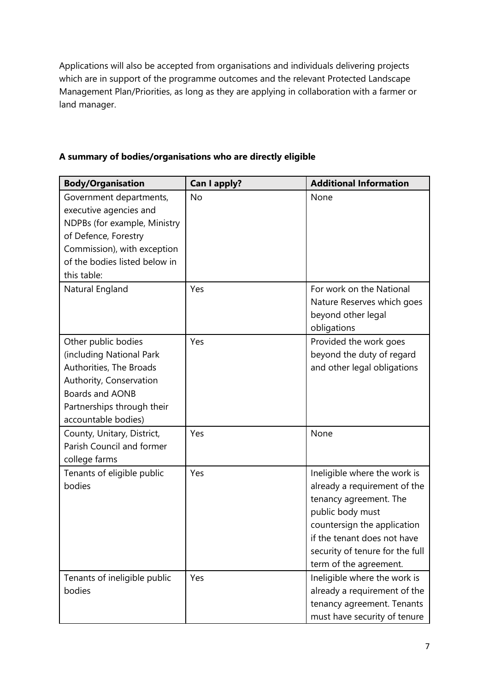Applications will also be accepted from organisations and individuals delivering projects which are in support of the programme outcomes and the relevant Protected Landscape Management Plan/Priorities, as long as they are applying in collaboration with a farmer or land manager.

| <b>Body/Organisation</b>                                                                                                                                                                 | Can I apply? | <b>Additional Information</b>                                                                                                                                                                                                         |
|------------------------------------------------------------------------------------------------------------------------------------------------------------------------------------------|--------------|---------------------------------------------------------------------------------------------------------------------------------------------------------------------------------------------------------------------------------------|
| Government departments,<br>executive agencies and<br>NDPBs (for example, Ministry<br>of Defence, Forestry<br>Commission), with exception<br>of the bodies listed below in<br>this table: | No           | None                                                                                                                                                                                                                                  |
| Natural England                                                                                                                                                                          | Yes          | For work on the National<br>Nature Reserves which goes<br>beyond other legal<br>obligations                                                                                                                                           |
| Other public bodies<br>(including National Park<br>Authorities, The Broads<br>Authority, Conservation<br><b>Boards and AONB</b><br>Partnerships through their<br>accountable bodies)     | Yes          | Provided the work goes<br>beyond the duty of regard<br>and other legal obligations                                                                                                                                                    |
| County, Unitary, District,<br>Parish Council and former<br>college farms                                                                                                                 | Yes          | None                                                                                                                                                                                                                                  |
| Tenants of eligible public<br>bodies                                                                                                                                                     | Yes          | Ineligible where the work is<br>already a requirement of the<br>tenancy agreement. The<br>public body must<br>countersign the application<br>if the tenant does not have<br>security of tenure for the full<br>term of the agreement. |
| Tenants of ineligible public<br>bodies                                                                                                                                                   | Yes          | Ineligible where the work is<br>already a requirement of the<br>tenancy agreement. Tenants<br>must have security of tenure                                                                                                            |

#### **A summary of bodies/organisations who are directly eligible**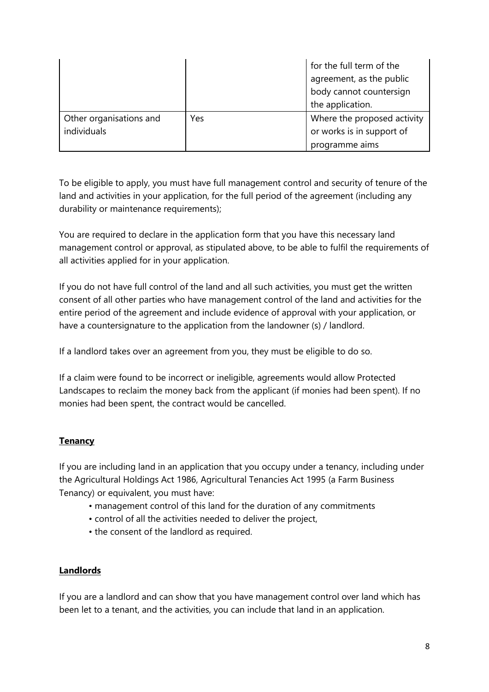|                         |     | for the full term of the    |
|-------------------------|-----|-----------------------------|
|                         |     | agreement, as the public    |
|                         |     | body cannot countersign     |
|                         |     | the application.            |
| Other organisations and | Yes | Where the proposed activity |
| individuals             |     | or works is in support of   |
|                         |     | programme aims              |

To be eligible to apply, you must have full management control and security of tenure of the land and activities in your application, for the full period of the agreement (including any durability or maintenance requirements);

You are required to declare in the application form that you have this necessary land management control or approval, as stipulated above, to be able to fulfil the requirements of all activities applied for in your application.

If you do not have full control of the land and all such activities, you must get the written consent of all other parties who have management control of the land and activities for the entire period of the agreement and include evidence of approval with your application, or have a countersignature to the application from the landowner (s) / landlord.

If a landlord takes over an agreement from you, they must be eligible to do so.

If a claim were found to be incorrect or ineligible, agreements would allow Protected Landscapes to reclaim the money back from the applicant (if monies had been spent). If no monies had been spent, the contract would be cancelled.

#### **Tenancy**

If you are including land in an application that you occupy under a tenancy, including under the Agricultural Holdings Act 1986, Agricultural Tenancies Act 1995 (a Farm Business Tenancy) or equivalent, you must have:

- management control of this land for the duration of any commitments
- control of all the activities needed to deliver the project,
- the consent of the landlord as required.

#### **Landlords**

If you are a landlord and can show that you have management control over land which has been let to a tenant, and the activities, you can include that land in an application.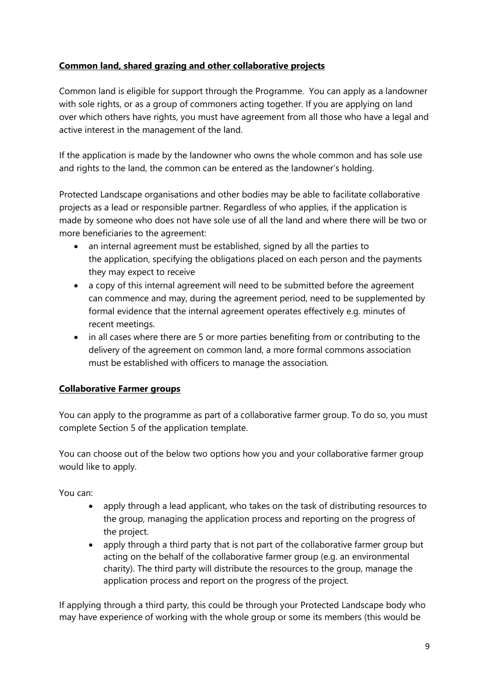#### **Common land, shared grazing and other collaborative projects**

Common land is eligible for support through the Programme. You can apply as a landowner with sole rights, or as a group of commoners acting together. If you are applying on land over which others have rights, you must have agreement from all those who have a legal and active interest in the management of the land.

If the application is made by the landowner who owns the whole common and has sole use and rights to the land, the common can be entered as the landowner's holding.

Protected Landscape organisations and other bodies may be able to facilitate collaborative projects as a lead or responsible partner. Regardless of who applies, if the application is made by someone who does not have sole use of all the land and where there will be two or more beneficiaries to the agreement:

- an internal agreement must be established, signed by all the parties to the application, specifying the obligations placed on each person and the payments they may expect to receive
- a copy of this internal agreement will need to be submitted before the agreement can commence and may, during the agreement period, need to be supplemented by formal evidence that the internal agreement operates effectively e.g. minutes of recent meetings.
- in all cases where there are 5 or more parties benefiting from or contributing to the delivery of the agreement on common land, a more formal commons association must be established with officers to manage the association.

#### **Collaborative Farmer groups**

You can apply to the programme as part of a collaborative farmer group. To do so, you must complete Section 5 of the application template.

You can choose out of the below two options how you and your collaborative farmer group would like to apply.

You can:

- apply through a lead applicant, who takes on the task of distributing resources to the group, managing the application process and reporting on the progress of the project.
- apply through a third party that is not part of the collaborative farmer group but acting on the behalf of the collaborative farmer group (e.g. an environmental charity). The third party will distribute the resources to the group, manage the application process and report on the progress of the project.

If applying through a third party, this could be through your Protected Landscape body who may have experience of working with the whole group or some its members (this would be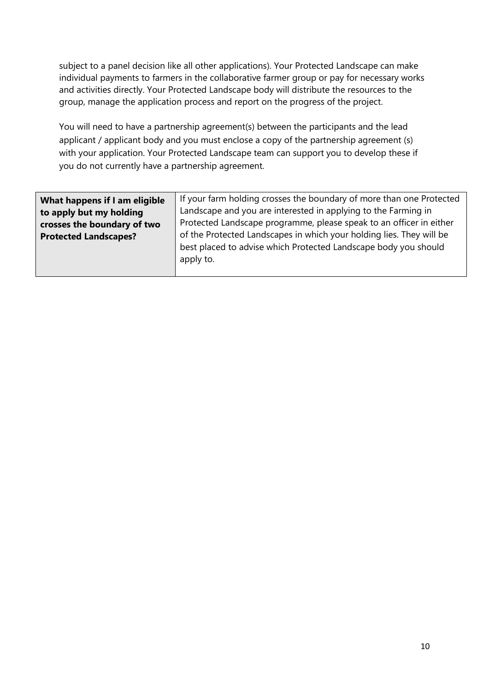subject to a panel decision like all other applications). Your Protected Landscape can make individual payments to farmers in the collaborative farmer group or pay for necessary works and activities directly. Your Protected Landscape body will distribute the resources to the group, manage the application process and report on the progress of the project.

You will need to have a partnership agreement(s) between the participants and the lead applicant / applicant body and you must enclose a copy of the partnership agreement (s) with your application. Your Protected Landscape team can support you to develop these if you do not currently have a partnership agreement.

| What happens if I am eligible | If your farm holding crosses the boundary of more than one Protected                                                                                 |
|-------------------------------|------------------------------------------------------------------------------------------------------------------------------------------------------|
| to apply but my holding       | Landscape and you are interested in applying to the Farming in                                                                                       |
| crosses the boundary of two   | Protected Landscape programme, please speak to an officer in either                                                                                  |
| <b>Protected Landscapes?</b>  | of the Protected Landscapes in which your holding lies. They will be<br>best placed to advise which Protected Landscape body you should<br>apply to. |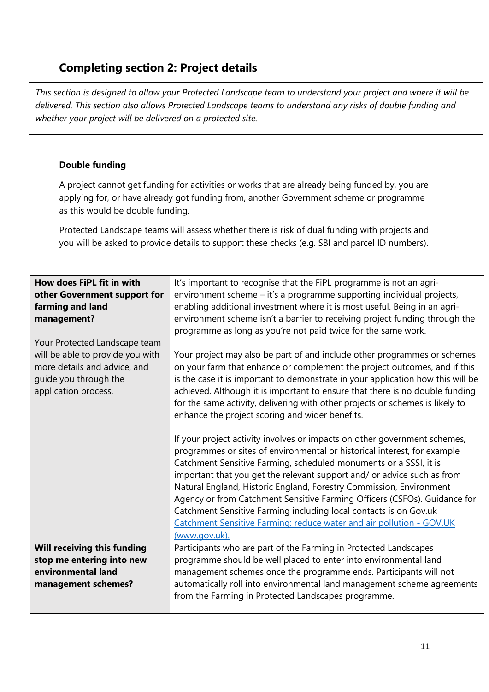## **Completing section 2: Project details**

*This section is designed to allow your Protected Landscape team to understand your project and where it will be delivered. This section also allows Protected Landscape teams to understand any risks of double funding and whether your project will be delivered on a protected site.* 

#### **Double funding**

A project cannot get funding for activities or works that are already being funded by, you are applying for, or have already got funding from, another Government scheme or programme as this would be double funding.

Protected Landscape teams will assess whether there is risk of dual funding with projects and you will be asked to provide details to support these checks (e.g. SBI and parcel ID numbers).

| How does FiPL fit in with<br>other Government support for<br>farming and land<br>management?<br>Your Protected Landscape team | It's important to recognise that the FiPL programme is not an agri-<br>environment scheme - it's a programme supporting individual projects,<br>enabling additional investment where it is most useful. Being in an agri-<br>environment scheme isn't a barrier to receiving project funding through the<br>programme as long as you're not paid twice for the same work.                                                                                                                                                                                                                                                                                                                                                                                             |
|-------------------------------------------------------------------------------------------------------------------------------|-----------------------------------------------------------------------------------------------------------------------------------------------------------------------------------------------------------------------------------------------------------------------------------------------------------------------------------------------------------------------------------------------------------------------------------------------------------------------------------------------------------------------------------------------------------------------------------------------------------------------------------------------------------------------------------------------------------------------------------------------------------------------|
| will be able to provide you with<br>more details and advice, and<br>guide you through the<br>application process.             | Your project may also be part of and include other programmes or schemes<br>on your farm that enhance or complement the project outcomes, and if this<br>is the case it is important to demonstrate in your application how this will be<br>achieved. Although it is important to ensure that there is no double funding<br>for the same activity, delivering with other projects or schemes is likely to<br>enhance the project scoring and wider benefits.<br>If your project activity involves or impacts on other government schemes,<br>programmes or sites of environmental or historical interest, for example<br>Catchment Sensitive Farming, scheduled monuments or a SSSI, it is<br>important that you get the relevant support and/ or advice such as from |
|                                                                                                                               | Natural England, Historic England, Forestry Commission, Environment<br>Agency or from Catchment Sensitive Farming Officers (CSFOs). Guidance for<br>Catchment Sensitive Farming including local contacts is on Gov.uk<br>Catchment Sensitive Farming: reduce water and air pollution - GOV.UK<br>(www.gov.uk).                                                                                                                                                                                                                                                                                                                                                                                                                                                        |
| Will receiving this funding                                                                                                   | Participants who are part of the Farming in Protected Landscapes                                                                                                                                                                                                                                                                                                                                                                                                                                                                                                                                                                                                                                                                                                      |
| stop me entering into new<br>environmental land                                                                               | programme should be well placed to enter into environmental land                                                                                                                                                                                                                                                                                                                                                                                                                                                                                                                                                                                                                                                                                                      |
| management schemes?                                                                                                           | management schemes once the programme ends. Participants will not<br>automatically roll into environmental land management scheme agreements                                                                                                                                                                                                                                                                                                                                                                                                                                                                                                                                                                                                                          |
|                                                                                                                               | from the Farming in Protected Landscapes programme.                                                                                                                                                                                                                                                                                                                                                                                                                                                                                                                                                                                                                                                                                                                   |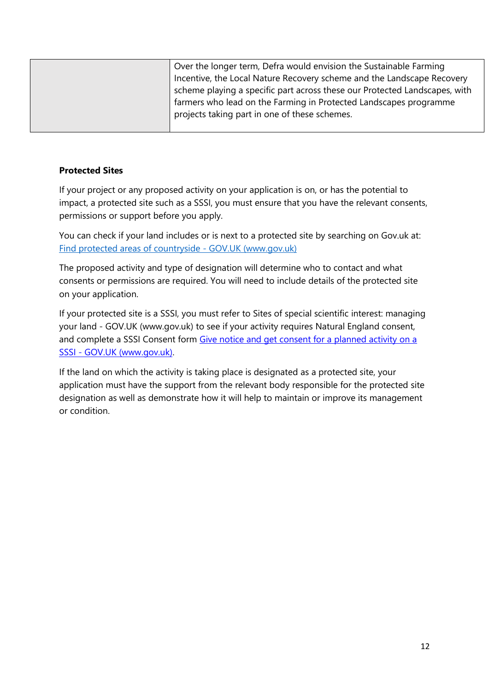| projects taking part in one of these schemes. |
|-----------------------------------------------|
|-----------------------------------------------|

#### **Protected Sites**

If your project or any proposed activity on your application is on, or has the potential to impact, a protected site such as a SSSI, you must ensure that you have the relevant consents, permissions or support before you apply.

You can check if your land includes or is next to a protected site by searching on Gov.uk at: [Find protected areas of countryside -](https://www.gov.uk/check-your-business-protected-area) GOV.UK (www.gov.uk)

The proposed activity and type of designation will determine who to contact and what consents or permissions are required. You will need to include details of the protected site on your application.

If your protected site is a SSSI, you must refer to [Sites of special scientific interest: managing](https://www.gov.uk/guidance/protected-areas-sites-of-special-scientific-interest)  your land - [GOV.UK \(www.gov.uk\)](https://www.gov.uk/guidance/protected-areas-sites-of-special-scientific-interest) to see if your activity requires Natural England consent, and complete a SSSI Consent form [Give notice and get consent for a planned activity on a](https://www.gov.uk/government/publications/request-permission-for-works-or-an-activity-on-an-sssi)  SSSI - [GOV.UK \(www.gov.uk\).](https://www.gov.uk/government/publications/request-permission-for-works-or-an-activity-on-an-sssi)

If the land on which the activity is taking place is designated as a protected site, your application must have the support from the relevant body responsible for the protected site designation as well as demonstrate how it will help to maintain or improve its management or condition.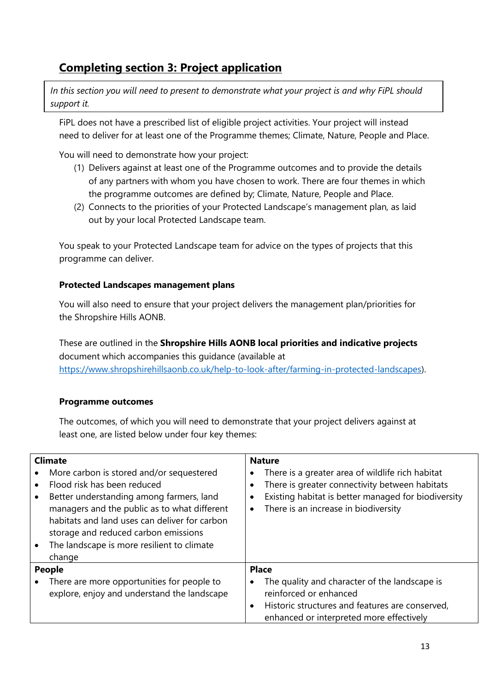## **Completing section 3: Project application**

In this section you will need to present to demonstrate what your project is and why FiPL should *support it.* 

FiPL does not have a prescribed list of eligible project activities. Your project will instead need to deliver for at least one of the Programme themes; Climate, Nature, People and Place.

You will need to demonstrate how your project:

- (1) Delivers against at least one of the Programme outcomes and to provide the details of any partners with whom you have chosen to work. There are four themes in which the programme outcomes are defined by; Climate, Nature, People and Place.
- (2) Connects to the priorities of your Protected Landscape's management plan, as laid out by your local Protected Landscape team.

You speak to your Protected Landscape team for advice on the types of projects that this programme can deliver.

#### **Protected Landscapes management plans**

You will also need to ensure that your project delivers the management plan/priorities for the Shropshire Hills AONB.

These are outlined in the **Shropshire Hills AONB local priorities and indicative projects** document which accompanies this guidance (available at [https://www.shropshirehillsaonb.co.uk/help-to-look-after/farming-in-protected-landscapes\)](https://www.shropshirehillsaonb.co.uk/help-to-look-after/farming-in-protected-landscapes).

#### **Programme outcomes**

The outcomes, of which you will need to demonstrate that your project delivers against at least one, are listed below under four key themes:

| <b>Climate</b><br>More carbon is stored and/or sequestered<br>Flood risk has been reduced<br>Better understanding among farmers, land<br>managers and the public as to what different<br>habitats and land uses can deliver for carbon<br>storage and reduced carbon emissions<br>The landscape is more resilient to climate<br>change | <b>Nature</b><br>There is a greater area of wildlife rich habitat<br>There is greater connectivity between habitats<br>Existing habitat is better managed for biodiversity<br>There is an increase in biodiversity<br>$\bullet$ |
|----------------------------------------------------------------------------------------------------------------------------------------------------------------------------------------------------------------------------------------------------------------------------------------------------------------------------------------|---------------------------------------------------------------------------------------------------------------------------------------------------------------------------------------------------------------------------------|
| <b>People</b>                                                                                                                                                                                                                                                                                                                          | <b>Place</b>                                                                                                                                                                                                                    |
| There are more opportunities for people to<br>explore, enjoy and understand the landscape                                                                                                                                                                                                                                              | The quality and character of the landscape is<br>٠<br>reinforced or enhanced<br>Historic structures and features are conserved,<br>$\bullet$<br>enhanced or interpreted more effectively                                        |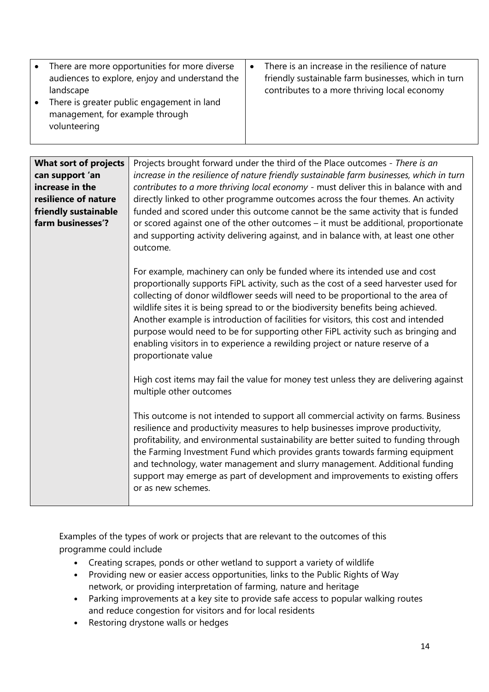| There are more opportunities for more diverse<br>audiences to explore, enjoy and understand the<br>landscape<br>There is greater public engagement in land<br>management, for example through<br>volunteering | There is an increase in the resilience of nature<br>friendly sustainable farm businesses, which in turn<br>contributes to a more thriving local economy |
|---------------------------------------------------------------------------------------------------------------------------------------------------------------------------------------------------------------|---------------------------------------------------------------------------------------------------------------------------------------------------------|
|---------------------------------------------------------------------------------------------------------------------------------------------------------------------------------------------------------------|---------------------------------------------------------------------------------------------------------------------------------------------------------|

| <b>What sort of projects</b><br>can support 'an<br>increase in the<br>resilience of nature<br>friendly sustainable<br>farm businesses'? | Projects brought forward under the third of the Place outcomes - There is an<br>increase in the resilience of nature friendly sustainable farm businesses, which in turn<br>contributes to a more thriving local economy - must deliver this in balance with and<br>directly linked to other programme outcomes across the four themes. An activity<br>funded and scored under this outcome cannot be the same activity that is funded<br>or scored against one of the other outcomes - it must be additional, proportionate<br>and supporting activity delivering against, and in balance with, at least one other<br>outcome. |
|-----------------------------------------------------------------------------------------------------------------------------------------|---------------------------------------------------------------------------------------------------------------------------------------------------------------------------------------------------------------------------------------------------------------------------------------------------------------------------------------------------------------------------------------------------------------------------------------------------------------------------------------------------------------------------------------------------------------------------------------------------------------------------------|
|                                                                                                                                         | For example, machinery can only be funded where its intended use and cost<br>proportionally supports FiPL activity, such as the cost of a seed harvester used for<br>collecting of donor wildflower seeds will need to be proportional to the area of<br>wildlife sites it is being spread to or the biodiversity benefits being achieved.<br>Another example is introduction of facilities for visitors, this cost and intended<br>purpose would need to be for supporting other FiPL activity such as bringing and<br>enabling visitors in to experience a rewilding project or nature reserve of a<br>proportionate value    |
|                                                                                                                                         | High cost items may fail the value for money test unless they are delivering against<br>multiple other outcomes                                                                                                                                                                                                                                                                                                                                                                                                                                                                                                                 |
|                                                                                                                                         | This outcome is not intended to support all commercial activity on farms. Business<br>resilience and productivity measures to help businesses improve productivity,<br>profitability, and environmental sustainability are better suited to funding through<br>the Farming Investment Fund which provides grants towards farming equipment<br>and technology, water management and slurry management. Additional funding<br>support may emerge as part of development and improvements to existing offers<br>or as new schemes.                                                                                                 |

Examples of the types of work or projects that are relevant to the outcomes of this programme could include

- Creating scrapes, ponds or other wetland to support a variety of wildlife
- Providing new or easier access opportunities, links to the Public Rights of Way network, or providing interpretation of farming, nature and heritage
- Parking improvements at a key site to provide safe access to popular walking routes and reduce congestion for visitors and for local residents
- Restoring drystone walls or hedges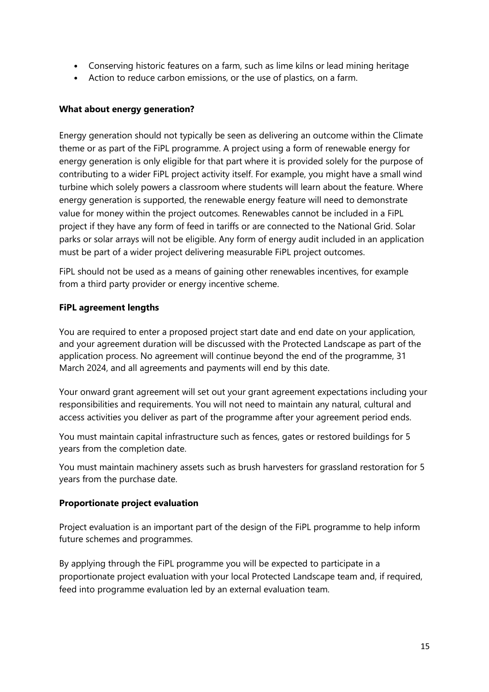- Conserving historic features on a farm, such as lime kilns or lead mining heritage
- Action to reduce carbon emissions, or the use of plastics, on a farm.

#### **What about energy generation?**

Energy generation should not typically be seen as delivering an outcome within the Climate theme or as part of the FiPL programme. A project using a form of renewable energy for energy generation is only eligible for that part where it is provided solely for the purpose of contributing to a wider FiPL project activity itself. For example, you might have a small wind turbine which solely powers a classroom where students will learn about the feature. Where energy generation is supported, the renewable energy feature will need to demonstrate value for money within the project outcomes. Renewables cannot be included in a FiPL project if they have any form of feed in tariffs or are connected to the National Grid. Solar parks or solar arrays will not be eligible. Any form of energy audit included in an application must be part of a wider project delivering measurable FiPL project outcomes.

FiPL should not be used as a means of gaining other renewables incentives, for example from a third party provider or energy incentive scheme.

#### **FiPL agreement lengths**

You are required to enter a proposed project start date and end date on your application, and your agreement duration will be discussed with the Protected Landscape as part of the application process. No agreement will continue beyond the end of the programme, 31 March 2024, and all agreements and payments will end by this date.

Your onward grant agreement will set out your grant agreement expectations including your responsibilities and requirements. You will not need to maintain any natural, cultural and access activities you deliver as part of the programme after your agreement period ends.

You must maintain capital infrastructure such as fences, gates or restored buildings for 5 years from the completion date.

You must maintain machinery assets such as brush harvesters for grassland restoration for 5 years from the purchase date.

#### **Proportionate project evaluation**

Project evaluation is an important part of the design of the FiPL programme to help inform future schemes and programmes.

By applying through the FiPL programme you will be expected to participate in a proportionate project evaluation with your local Protected Landscape team and, if required, feed into programme evaluation led by an external evaluation team.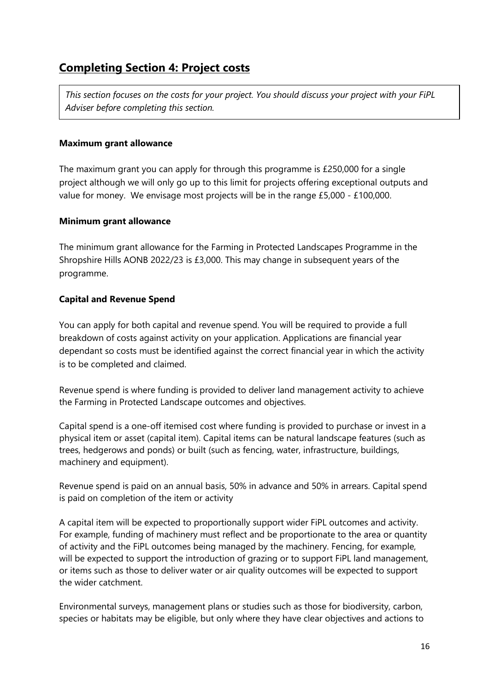### **Completing Section 4: Project costs**

*This section focuses on the costs for your project. You should discuss your project with your FiPL Adviser before completing this section.*

#### **Maximum grant allowance**

The maximum grant you can apply for through this programme is £250,000 for a single project although we will only go up to this limit for projects offering exceptional outputs and value for money. We envisage most projects will be in the range £5,000 - £100,000.

#### **Minimum grant allowance**

The minimum grant allowance for the Farming in Protected Landscapes Programme in the Shropshire Hills AONB 2022/23 is £3,000. This may change in subsequent years of the programme.

#### **Capital and Revenue Spend**

You can apply for both capital and revenue spend. You will be required to provide a full breakdown of costs against activity on your application. Applications are financial year dependant so costs must be identified against the correct financial year in which the activity is to be completed and claimed.

Revenue spend is where funding is provided to deliver land management activity to achieve the Farming in Protected Landscape outcomes and objectives.

Capital spend is a one-off itemised cost where funding is provided to purchase or invest in a physical item or asset (capital item). Capital items can be natural landscape features (such as trees, hedgerows and ponds) or built (such as fencing, water, infrastructure, buildings, machinery and equipment).

Revenue spend is paid on an annual basis, 50% in advance and 50% in arrears. Capital spend is paid on completion of the item or activity

A capital item will be expected to proportionally support wider FiPL outcomes and activity. For example, funding of machinery must reflect and be proportionate to the area or quantity of activity and the FiPL outcomes being managed by the machinery. Fencing, for example, will be expected to support the introduction of grazing or to support FiPL land management, or items such as those to deliver water or air quality outcomes will be expected to support the wider catchment.

Environmental surveys, management plans or studies such as those for biodiversity, carbon, species or habitats may be eligible, but only where they have clear objectives and actions to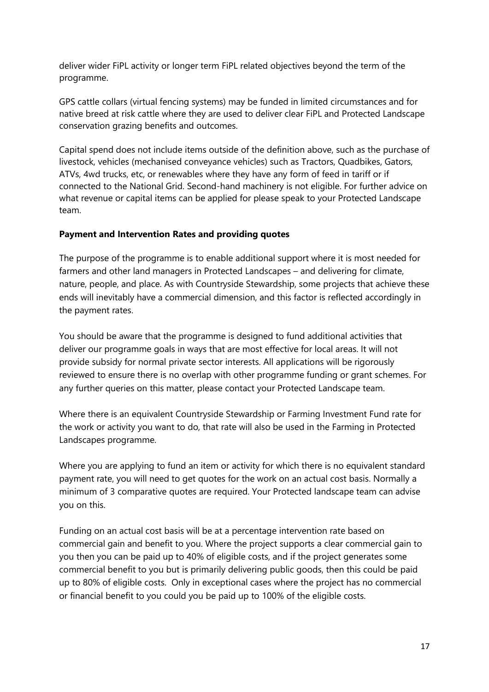deliver wider FiPL activity or longer term FiPL related objectives beyond the term of the programme.

GPS cattle collars (virtual fencing systems) may be funded in limited circumstances and for native breed at risk cattle where they are used to deliver clear FiPL and Protected Landscape conservation grazing benefits and outcomes.

Capital spend does not include items outside of the definition above, such as the purchase of livestock, vehicles (mechanised conveyance vehicles) such as Tractors, Quadbikes, Gators, ATVs, 4wd trucks, etc, or renewables where they have any form of feed in tariff or if connected to the National Grid. Second-hand machinery is not eligible. For further advice on what revenue or capital items can be applied for please speak to your Protected Landscape team.

#### **Payment and Intervention Rates and providing quotes**

The purpose of the programme is to enable additional support where it is most needed for farmers and other land managers in Protected Landscapes – and delivering for climate, nature, people, and place. As with Countryside Stewardship, some projects that achieve these ends will inevitably have a commercial dimension, and this factor is reflected accordingly in the payment rates.

You should be aware that the programme is designed to fund additional activities that deliver our programme goals in ways that are most effective for local areas. It will not provide subsidy for normal private sector interests. All applications will be rigorously reviewed to ensure there is no overlap with other programme funding or grant schemes. For any further queries on this matter, please contact your Protected Landscape team.

Where there is an equivalent Countryside Stewardship or Farming Investment Fund rate for the work or activity you want to do, that rate will also be used in the Farming in Protected Landscapes programme.

Where you are applying to fund an item or activity for which there is no equivalent standard payment rate, you will need to get quotes for the work on an actual cost basis. Normally a minimum of 3 comparative quotes are required. Your Protected landscape team can advise you on this.

Funding on an actual cost basis will be at a percentage intervention rate based on commercial gain and benefit to you. Where the project supports a clear commercial gain to you then you can be paid up to 40% of eligible costs, and if the project generates some commercial benefit to you but is primarily delivering public goods, then this could be paid up to 80% of eligible costs. Only in exceptional cases where the project has no commercial or financial benefit to you could you be paid up to 100% of the eligible costs.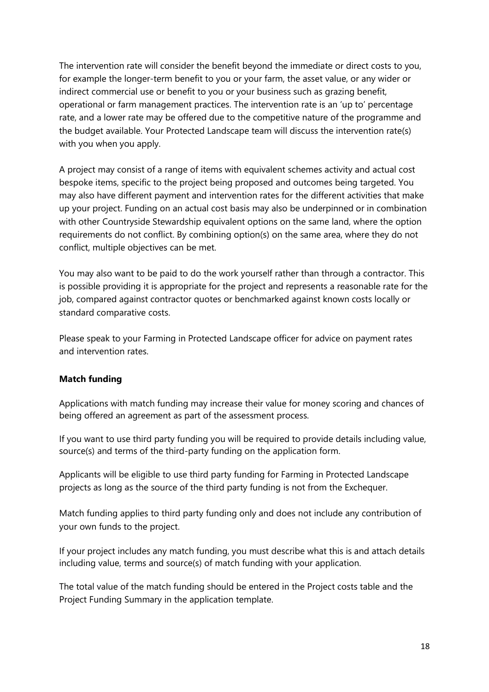The intervention rate will consider the benefit beyond the immediate or direct costs to you, for example the longer-term benefit to you or your farm, the asset value, or any wider or indirect commercial use or benefit to you or your business such as grazing benefit, operational or farm management practices. The intervention rate is an 'up to' percentage rate, and a lower rate may be offered due to the competitive nature of the programme and the budget available. Your Protected Landscape team will discuss the intervention rate(s) with you when you apply.

A project may consist of a range of items with equivalent schemes activity and actual cost bespoke items, specific to the project being proposed and outcomes being targeted. You may also have different payment and intervention rates for the different activities that make up your project. Funding on an actual cost basis may also be underpinned or in combination with other Countryside Stewardship equivalent options on the same land, where the option requirements do not conflict. By combining option(s) on the same area, where they do not conflict, multiple objectives can be met.

You may also want to be paid to do the work yourself rather than through a contractor. This is possible providing it is appropriate for the project and represents a reasonable rate for the job, compared against contractor quotes or benchmarked against known costs locally or standard comparative costs.

Please speak to your Farming in Protected Landscape officer for advice on payment rates and intervention rates.

#### **Match funding**

Applications with match funding may increase their value for money scoring and chances of being offered an agreement as part of the assessment process.

If you want to use third party funding you will be required to provide details including value, source(s) and terms of the third-party funding on the application form.

Applicants will be eligible to use third party funding for Farming in Protected Landscape projects as long as the source of the third party funding is not from the Exchequer.

Match funding applies to third party funding only and does not include any contribution of your own funds to the project.

If your project includes any match funding, you must describe what this is and attach details including value, terms and source(s) of match funding with your application.

The total value of the match funding should be entered in the Project costs table and the Project Funding Summary in the application template.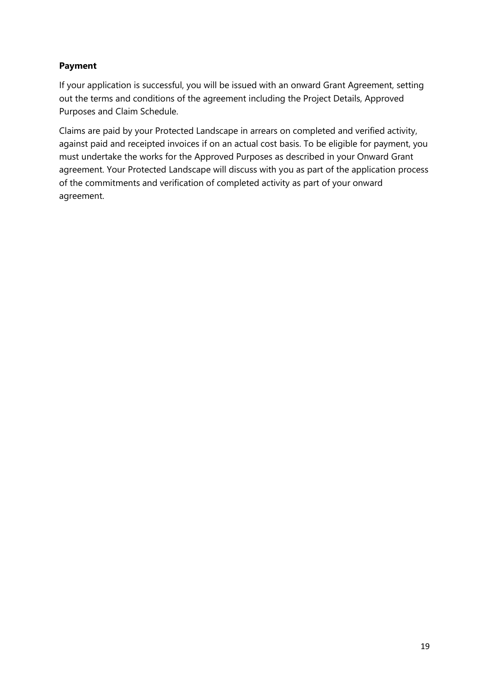#### **Payment**

If your application is successful, you will be issued with an onward Grant Agreement, setting out the terms and conditions of the agreement including the Project Details, Approved Purposes and Claim Schedule.

Claims are paid by your Protected Landscape in arrears on completed and verified activity, against paid and receipted invoices if on an actual cost basis. To be eligible for payment, you must undertake the works for the Approved Purposes as described in your Onward Grant agreement. Your Protected Landscape will discuss with you as part of the application process of the commitments and verification of completed activity as part of your onward agreement.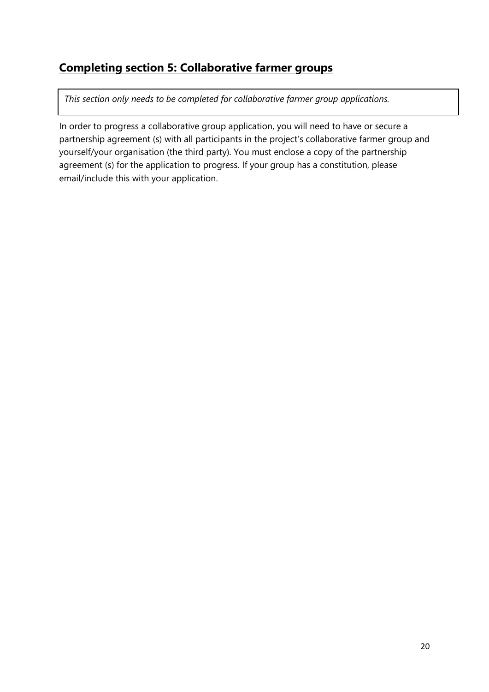## **Completing section 5: Collaborative farmer groups**

*This section only needs to be completed for collaborative farmer group applications.* 

In order to progress a collaborative group application, you will need to have or secure a partnership agreement (s) with all participants in the project's collaborative farmer group and yourself/your organisation (the third party). You must enclose a copy of the partnership agreement (s) for the application to progress. If your group has a constitution, please email/include this with your application.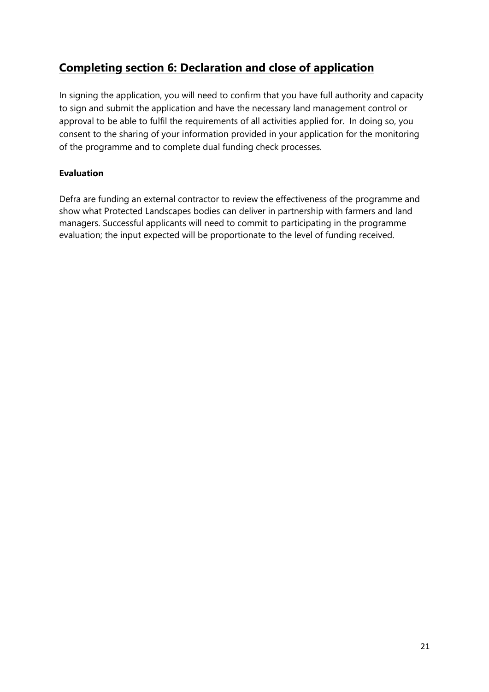## **Completing section 6: Declaration and close of application**

In signing the application, you will need to confirm that you have full authority and capacity to sign and submit the application and have the necessary land management control or approval to be able to fulfil the requirements of all activities applied for. In doing so, you consent to the sharing of your information provided in your application for the monitoring of the programme and to complete dual funding check processes.

#### **Evaluation**

Defra are funding an external contractor to review the effectiveness of the programme and show what Protected Landscapes bodies can deliver in partnership with farmers and land managers. Successful applicants will need to commit to participating in the programme evaluation; the input expected will be proportionate to the level of funding received.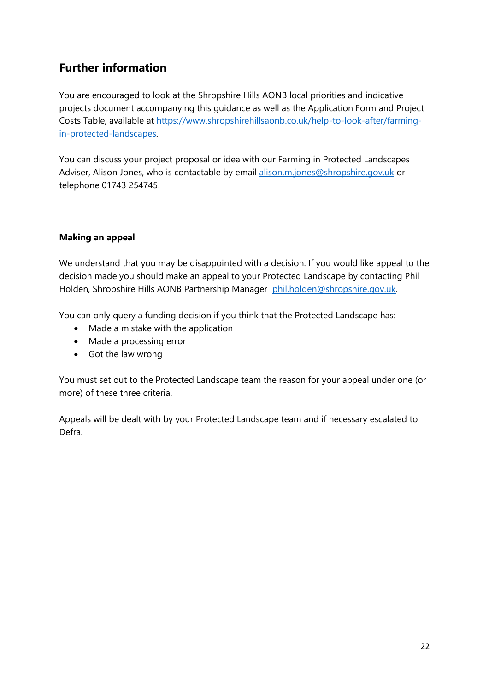## **Further information**

You are encouraged to look at the Shropshire Hills AONB local priorities and indicative projects document accompanying this guidance as well as the Application Form and Project Costs Table, available at [https://www.shropshirehillsaonb.co.uk/help-to-look-after/farming](https://www.shropshirehillsaonb.co.uk/help-to-look-after/farming-in-protected-landscapes)[in-protected-landscapes.](https://www.shropshirehillsaonb.co.uk/help-to-look-after/farming-in-protected-landscapes)

You can discuss your project proposal or idea with our Farming in Protected Landscapes Adviser, Alison Jones, who is contactable by email [alison.m.jones@shropshire.gov.uk](mailto:alison.m.jones@shropshire.gov.uk) or telephone 01743 254745.

#### **Making an appeal**

We understand that you may be disappointed with a decision. If you would like appeal to the decision made you should make an appeal to your Protected Landscape by contacting Phil Holden, Shropshire Hills AONB Partnership Manager [phil.holden@shropshire.gov.uk.](mailto:phil.holden@shropshire.gov.uk)

You can only query a funding decision if you think that the Protected Landscape has:

- Made a mistake with the application
- Made a processing error
- Got the law wrong

You must set out to the Protected Landscape team the reason for your appeal under one (or more) of these three criteria.

Appeals will be dealt with by your Protected Landscape team and if necessary escalated to Defra.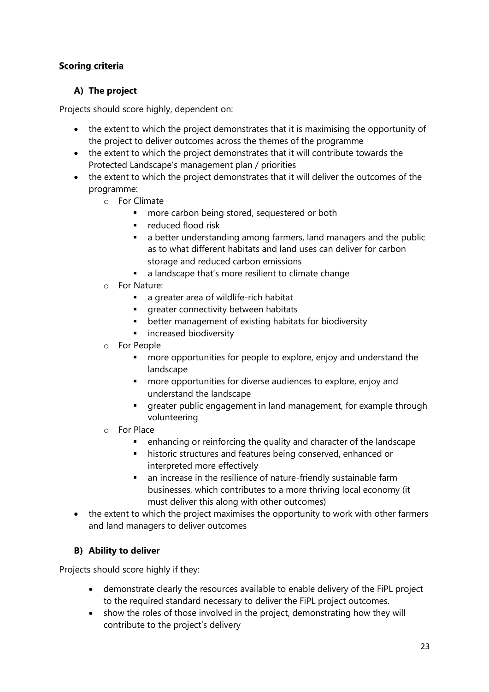#### **Scoring criteria**

#### **A) The project**

Projects should score highly, dependent on:

- the extent to which the project demonstrates that it is maximising the opportunity of the project to deliver outcomes across the themes of the programme
- the extent to which the project demonstrates that it will contribute towards the Protected Landscape's management plan / priorities
- the extent to which the project demonstrates that it will deliver the outcomes of the programme:
	- o For Climate
		- more carbon being stored, sequestered or both
		- reduced flood risk
		- a better understanding among farmers, land managers and the public as to what different habitats and land uses can deliver for carbon storage and reduced carbon emissions
		- a landscape that's more resilient to climate change
	- o For Nature:
		- a greater area of wildlife-rich habitat
		- **·** greater connectivity between habitats
		- better management of existing habitats for biodiversity
		- **·** increased biodiversity
	- o For People
		- more opportunities for people to explore, enjoy and understand the landscape
		- more opportunities for diverse audiences to explore, enjoy and understand the landscape
		- **•** greater public engagement in land management, for example through volunteering
	- o For Place
		- enhancing or reinforcing the quality and character of the landscape
		- historic structures and features being conserved, enhanced or interpreted more effectively
		- an increase in the resilience of nature-friendly sustainable farm businesses, which contributes to a more thriving local economy (it must deliver this along with other outcomes)
- the extent to which the project maximises the opportunity to work with other farmers and land managers to deliver outcomes

#### **B) Ability to deliver**

Projects should score highly if they:

- demonstrate clearly the resources available to enable delivery of the FiPL project to the required standard necessary to deliver the FiPL project outcomes.
- show the roles of those involved in the project, demonstrating how they will contribute to the project's delivery